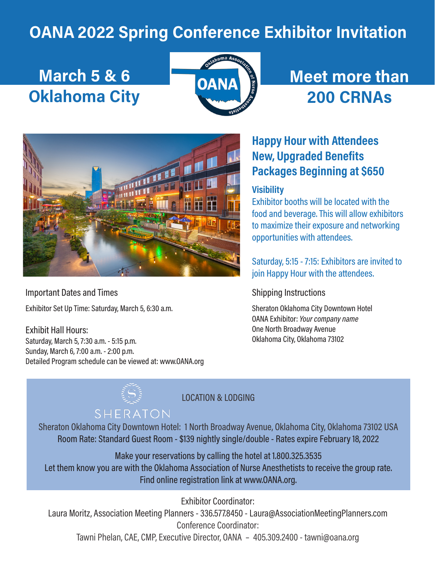## OANA 2022 Spring Conference Exhibitor Invitation

# March 5 & 6 Oklahoma City



## Meet more than 200 CRNAs



Important Dates and Times

Exhibitor Set Up Time: Saturday, March 5, 6:30 a.m.

Exhibit Hall Hours: Saturday, March 5, 7:30 a.m. - 5:15 p.m. Sunday, March 6, 7:00 a.m. - 2:00 p.m. Detailed Program schedule can be viewed at: www.OANA.org

## Happy Hour with Attendees New, Upgraded Benefits Packages Beginning at \$650

#### **Visibility**

Exhibitor booths will be located with the food and beverage. This will allow exhibitors to maximize their exposure and networking opportunities with attendees.

Saturday, 5:15 - 7:15: Exhibitors are invited to join Happy Hour with the attendees.

#### Shipping Instructions

Sheraton Oklahoma City Downtown Hotel OANA Exhibitor: Your company name One North Broadway Avenue Oklahoma City, Oklahoma 73102

LOCATION & LODGING

## SHERATON

Sheraton Oklahoma City Downtown Hotel: 1 North Broadway Avenue, Oklahoma City, Oklahoma 73102 USA Room Rate: Standard Guest Room - \$139 nightly single/double - Rates expire February 18, 2022

Make your reservations by calling the hotel at 1.800.325.3535 Let them know you are with the Oklahoma Association of Nurse Anesthetists to receive the group rate. Find online registration link at www.OANA.org.

Exhibitor Coordinator:

Laura Moritz, Association Meeting Planners - 336.577.8450 - Laura@AssociationMeetingPlanners.com Conference Coordinator:

Tawni Phelan, CAE, CMP, Executive Director, OANA – 405.309.2400 - tawni@oana.org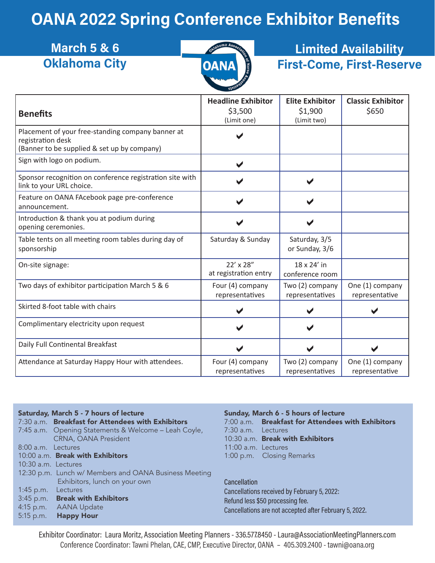## OANA 2022 Spring Conference Exhibitor Benefits

| <b>March 5 &amp; 6</b><br><b>Oklahoma City</b> | ्ट्र<br><u>\õ'</u><br><b>OANA</b> | <b>Limited Availability</b><br><b>First-Come, First-Reserve</b> |                          |  |
|------------------------------------------------|-----------------------------------|-----------------------------------------------------------------|--------------------------|--|
|                                                | <b>Headline Exhibitor</b>         | <b>Elite Exhibitor</b>                                          | <b>Classic Exhibitor</b> |  |

| <b>Benefits</b>                                                                                                       | <b>Headline Exhibitor</b><br>\$3,500<br>(Limit one) | <b>EIRE EXMIDITOR</b><br>\$1,900<br>(Limit two) | Classic exhibitor<br>\$650        |
|-----------------------------------------------------------------------------------------------------------------------|-----------------------------------------------------|-------------------------------------------------|-----------------------------------|
| Placement of your free-standing company banner at<br>registration desk<br>(Banner to be supplied & set up by company) |                                                     |                                                 |                                   |
| Sign with logo on podium.                                                                                             | $\blacktriangledown$                                |                                                 |                                   |
| Sponsor recognition on conference registration site with<br>link to your URL choice.                                  |                                                     |                                                 |                                   |
| Feature on OANA FAcebook page pre-conference<br>announcement.                                                         |                                                     |                                                 |                                   |
| Introduction & thank you at podium during<br>opening ceremonies.                                                      |                                                     |                                                 |                                   |
| Table tents on all meeting room tables during day of<br>sponsorship                                                   | Saturday & Sunday                                   | Saturday, 3/5<br>or Sunday, 3/6                 |                                   |
| On-site signage:                                                                                                      | 22' x 28"<br>at registration entry                  | 18 x 24' in<br>conference room                  |                                   |
| Two days of exhibitor participation March 5 & 6                                                                       | Four (4) company<br>representatives                 | Two (2) company<br>representatives              | One (1) company<br>representative |
| Skirted 8-foot table with chairs                                                                                      |                                                     |                                                 |                                   |
| Complimentary electricity upon request                                                                                |                                                     |                                                 |                                   |
| Daily Full Continental Breakfast                                                                                      |                                                     |                                                 |                                   |
| Attendance at Saturday Happy Hour with attendees.                                                                     | Four (4) company<br>representatives                 | Two (2) company<br>representatives              | One (1) company<br>representative |

| Saturday, March 5 - 7 hours of lecture |                                                       | Sunday, March 6 - 5 hou |                                |
|----------------------------------------|-------------------------------------------------------|-------------------------|--------------------------------|
|                                        | 7:30 a.m. Breakfast for Attendees with Exhibitors     |                         | 7:00 a.m. Breakfast for        |
|                                        | 7:45 a.m. Opening Statements & Welcome - Leah Coyle,  | 7:30 a.m. Lectures      |                                |
|                                        | CRNA, OANA President                                  |                         | 10:30 a.m. Break with E        |
| 8:00 a.m. Lectures                     |                                                       | 11:00 a.m. Lectures     |                                |
|                                        | 10:00 a.m. Break with Exhibitors                      |                         | 1:00 p.m. Closing Rema         |
| 10:30 a.m. Lectures                    |                                                       |                         |                                |
|                                        | 12:30 p.m. Lunch w/ Members and OANA Business Meeting |                         |                                |
|                                        | Exhibitors, lunch on your own                         | Cancellation            |                                |
| 1:45 p.m. Lectures                     |                                                       |                         | Cancellations received by Feb  |
|                                        | 3:45 p.m. Break with Exhibitors                       |                         | Refund less \$50 processing fe |
|                                        | 4:15 p.m. AANA Update                                 |                         | Cancellations are not accepted |
|                                        | 5:15 p.m. Happy Hour                                  |                         |                                |

### rs of lecture Attendees with Exhibitors xhibitors arks

ruary 5, 2022: Refund less \$50 processing fee. d after February 5, 2022.

Exhibitor Coordinator: Laura Moritz, Association Meeting Planners - 336.577.8450 - Laura@AssociationMeetingPlanners.com Conference Coordinator: Tawni Phelan, CAE, CMP, Executive Director, OANA – 405.309.2400 - tawni@oana.org